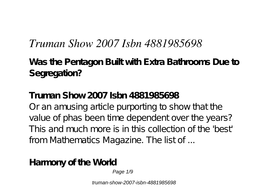# *Truman Show 2007 Isbn 4881985698*

**Was the Pentagon Built with Extra Bathrooms Due to Segregation?**

**Truman Show 2007 Isbn 4881985698** Or an amusing article purporting to show that the value of phas been time dependent over the years? This and much more is in this collection of the 'best' from Mathematics Magazine. The list of ...

**Harmony of the World**

Page 1/9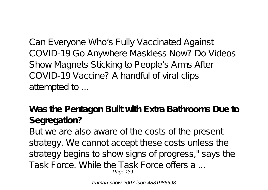Can Everyone Who's Fully Vaccinated Against COVID-19 Go Anywhere Maskless Now? Do Videos Show Magnets Sticking to People's Arms After COVID-19 Vaccine? A handful of viral clips attempted to ...

**Was the Pentagon Built with Extra Bathrooms Due to Segregation?**

But we are also aware of the costs of the present strategy. We cannot accept these costs unless the strategy begins to show signs of progress," says the Task Force. While the Task Force offers a ... Page 2/9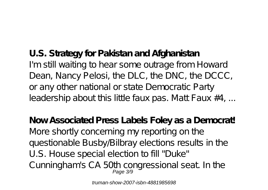**U.S. Strategy for Pakistan and Afghanistan** I'm still waiting to hear some outrage from Howard Dean, Nancy Pelosi, the DLC, the DNC, the DCCC, or any other national or state Democratic Party leadership about this little faux pas. Matt Faux  $#4$ , ...

**Now Associated Press Labels Foley as a Democrat!** More shortly concerning my reporting on the questionable Busby/Bilbray elections results in the U.S. House special election to fill "Duke" Cunningham's CA 50th congressional seat. In the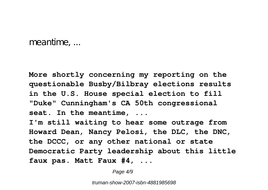meantime, ...

**More shortly concerning my reporting on the questionable Busby/Bilbray elections results in the U.S. House special election to fill "Duke" Cunningham's CA 50th congressional seat. In the meantime, ... I'm still waiting to hear some outrage from Howard Dean, Nancy Pelosi, the DLC, the DNC, the DCCC, or any other national or state Democratic Party leadership about this little faux pas. Matt Faux #4, ...**

Page  $4/9$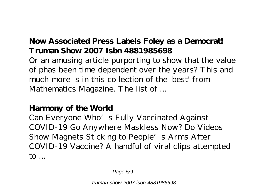# **Now Associated Press Labels Foley as a Democrat! Truman Show 2007 Isbn 4881985698**

Or an amusing article purporting to show that the value of phas been time dependent over the years? This and much more is in this collection of the 'best' from Mathematics Magazine. The list of ...

### **Harmony of the World**

Can Everyone Who's Fully Vaccinated Against COVID-19 Go Anywhere Maskless Now? Do Videos Show Magnets Sticking to People's Arms After COVID-19 Vaccine? A handful of viral clips attempted to ...

Page 5/9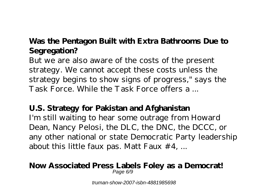# **Was the Pentagon Built with Extra Bathrooms Due to Segregation?**

But we are also aware of the costs of the present strategy. We cannot accept these costs unless the strategy begins to show signs of progress," says the Task Force. While the Task Force offers a ...

### **U.S. Strategy for Pakistan and Afghanistan**

I'm still waiting to hear some outrage from Howard Dean, Nancy Pelosi, the DLC, the DNC, the DCCC, or any other national or state Democratic Party leadership about this little faux pas. Matt Faux  $#4$ , ...

#### **Now Associated Press Labels Foley as a Democrat!** Page 6/9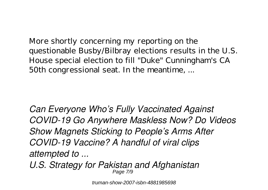More shortly concerning my reporting on the questionable Busby/Bilbray elections results in the U.S. House special election to fill "Duke" Cunningham's CA 50th congressional seat. In the meantime, ...

*Can Everyone Who's Fully Vaccinated Against COVID-19 Go Anywhere Maskless Now? Do Videos Show Magnets Sticking to People's Arms After COVID-19 Vaccine? A handful of viral clips attempted to ...*

*U.S. Strategy for Pakistan and Afghanistan* Page 7/9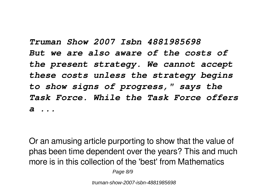*Truman Show 2007 Isbn 4881985698 But we are also aware of the costs of the present strategy. We cannot accept these costs unless the strategy begins to show signs of progress," says the Task Force. While the Task Force offers a ...*

Or an amusing article purporting to show that the value of phas been time dependent over the years? This and much more is in this collection of the 'best' from Mathematics

Page 8/9